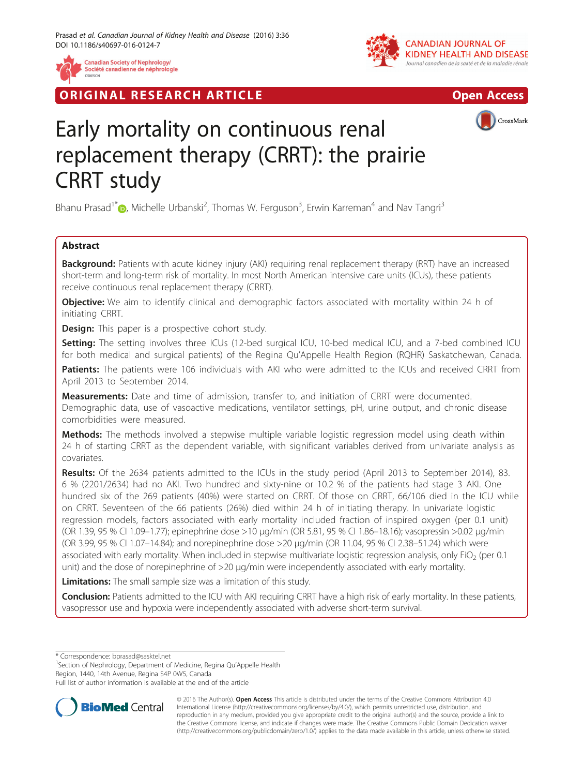

**RIGINAL RESEARCH ARTICLE CONSIDERING ACCESS** 





# Early mortality on continuous renal replacement therapy (CRRT): the prairie CRRT study

Bhanu Prasad<sup>1[\\*](http://orcid.org/0000-0002-1139-4821)</sup> (**D**, Michelle Urbanski<sup>2</sup>, Thomas W. Ferguson<sup>3</sup>, Erwin Karreman<sup>4</sup> and Nav Tangri<sup>3</sup>

# Abstract

Background: Patients with acute kidney injury (AKI) requiring renal replacement therapy (RRT) have an increased short-term and long-term risk of mortality. In most North American intensive care units (ICUs), these patients receive continuous renal replacement therapy (CRRT).

**Objective:** We aim to identify clinical and demographic factors associated with mortality within 24 h of initiating CRRT.

**Design:** This paper is a prospective cohort study.

Setting: The setting involves three ICUs (12-bed surgical ICU, 10-bed medical ICU, and a 7-bed combined ICU for both medical and surgical patients) of the Regina Qu'Appelle Health Region (RQHR) Saskatchewan, Canada.

Patients: The patients were 106 individuals with AKI who were admitted to the ICUs and received CRRT from April 2013 to September 2014.

Measurements: Date and time of admission, transfer to, and initiation of CRRT were documented. Demographic data, use of vasoactive medications, ventilator settings, pH, urine output, and chronic disease comorbidities were measured.

**Methods:** The methods involved a stepwise multiple variable logistic regression model using death within 24 h of starting CRRT as the dependent variable, with significant variables derived from univariate analysis as covariates.

Results: Of the 2634 patients admitted to the ICUs in the study period (April 2013 to September 2014), 83. 6 % (2201/2634) had no AKI. Two hundred and sixty-nine or 10.2 % of the patients had stage 3 AKI. One hundred six of the 269 patients (40%) were started on CRRT. Of those on CRRT, 66/106 died in the ICU while on CRRT. Seventeen of the 66 patients (26%) died within 24 h of initiating therapy. In univariate logistic regression models, factors associated with early mortality included fraction of inspired oxygen (per 0.1 unit) (OR 1.39, 95 % CI 1.09–1.77); epinephrine dose >10 μg/min (OR 5.81, 95 % CI 1.86–18.16); vasopressin >0.02 μg/min (OR 3.99, 95 % CI 1.07–14.84); and norepinephrine dose >20 μg/min (OR 11.04, 95 % CI 2.38–51.24) which were associated with early mortality. When included in stepwise multivariate logistic regression analysis, only FiO<sub>2</sub> (per 0.1) unit) and the dose of norepinephrine of >20 μg/min were independently associated with early mortality.

**Limitations:** The small sample size was a limitation of this study.

Conclusion: Patients admitted to the ICU with AKI requiring CRRT have a high risk of early mortality. In these patients, vasopressor use and hypoxia were independently associated with adverse short-term survival.

\* Correspondence: [bprasad@sasktel.net](mailto:bprasad@sasktel.net) <sup>1</sup>

<sup>1</sup>Section of Nephrology, Department of Medicine, Regina Qu'Appelle Health Region, 1440, 14th Avenue, Regina S4P 0W5, Canada

Full list of author information is available at the end of the article



© 2016 The Author(s). Open Access This article is distributed under the terms of the Creative Commons Attribution 4.0 International License [\(http://creativecommons.org/licenses/by/4.0/](http://creativecommons.org/licenses/by/4.0/)), which permits unrestricted use, distribution, and reproduction in any medium, provided you give appropriate credit to the original author(s) and the source, provide a link to the Creative Commons license, and indicate if changes were made. The Creative Commons Public Domain Dedication waiver [\(http://creativecommons.org/publicdomain/zero/1.0/](http://creativecommons.org/publicdomain/zero/1.0/)) applies to the data made available in this article, unless otherwise stated.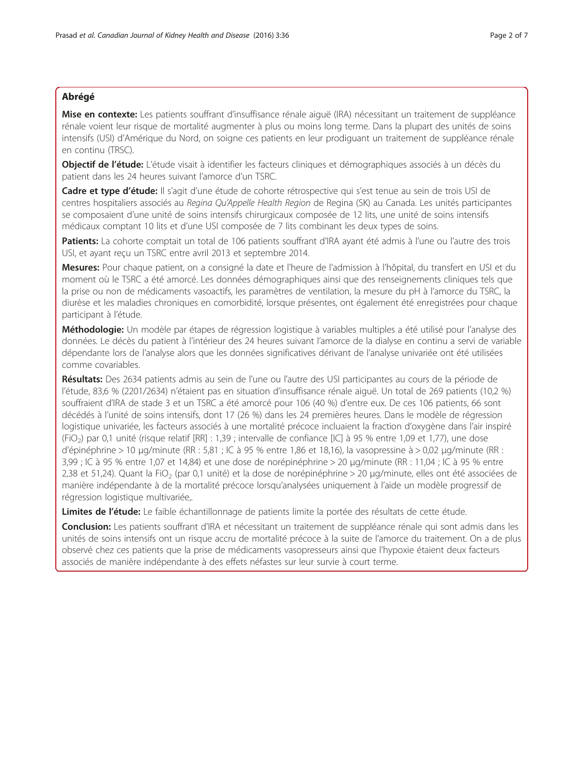# Abrégé

Mise en contexte: Les patients souffrant d'insuffisance rénale aiguë (IRA) nécessitant un traitement de suppléance rénale voient leur risque de mortalité augmenter à plus ou moins long terme. Dans la plupart des unités de soins intensifs (USI) d'Amérique du Nord, on soigne ces patients en leur prodiguant un traitement de suppléance rénale en continu (TRSC).

Objectif de l'étude: L'étude visait à identifier les facteurs cliniques et démographiques associés à un décès du patient dans les 24 heures suivant l'amorce d'un TSRC.

Cadre et type d'étude: Il s'agit d'une étude de cohorte rétrospective qui s'est tenue au sein de trois USI de centres hospitaliers associés au Regina Qu'Appelle Health Region de Regina (SK) au Canada. Les unités participantes se composaient d'une unité de soins intensifs chirurgicaux composée de 12 lits, une unité de soins intensifs médicaux comptant 10 lits et d'une USI composée de 7 lits combinant les deux types de soins.

Patients: La cohorte comptait un total de 106 patients souffrant d'IRA ayant été admis à l'une ou l'autre des trois USI, et ayant reçu un TSRC entre avril 2013 et septembre 2014.

Mesures: Pour chaque patient, on a consigné la date et l'heure de l'admission à l'hôpital, du transfert en USI et du moment où le TSRC a été amorcé. Les données démographiques ainsi que des renseignements cliniques tels que la prise ou non de médicaments vasoactifs, les paramètres de ventilation, la mesure du pH à l'amorce du TSRC, la diurèse et les maladies chroniques en comorbidité, lorsque présentes, ont également été enregistrées pour chaque participant à l'étude.

Méthodologie: Un modèle par étapes de régression logistique à variables multiples a été utilisé pour l'analyse des données. Le décès du patient à l'intérieur des 24 heures suivant l'amorce de la dialyse en continu a servi de variable dépendante lors de l'analyse alors que les données significatives dérivant de l'analyse univariée ont été utilisées comme covariables.

Résultats: Des 2634 patients admis au sein de l'une ou l'autre des USI participantes au cours de la période de l'étude, 83,6 % (2201/2634) n'étaient pas en situation d'insuffisance rénale aiguë. Un total de 269 patients (10,2 %) souffraient d'IRA de stade 3 et un TSRC a été amorcé pour 106 (40 %) d'entre eux. De ces 106 patients, 66 sont décédés à l'unité de soins intensifs, dont 17 (26 %) dans les 24 premières heures. Dans le modèle de régression logistique univariée, les facteurs associés à une mortalité précoce incluaient la fraction d'oxygène dans l'air inspiré (FiO2) par 0,1 unité (risque relatif [RR] : 1,39 ; intervalle de confiance [IC] à 95 % entre 1,09 et 1,77), une dose d'épinéphrine > 10 μg/minute (RR : 5,81 ; IC à 95 % entre 1,86 et 18,16), la vasopressine à > 0,02 μg/minute (RR : 3,99 ; IC à 95 % entre 1,07 et 14,84) et une dose de norépinéphrine > 20 μg/minute (RR : 11,04 ; IC à 95 % entre 2,38 et 51,24). Quant la FiO<sub>2</sub> (par 0,1 unité) et la dose de norépinéphrine > 20 μg/minute, elles ont été associées de manière indépendante à de la mortalité précoce lorsqu'analysées uniquement à l'aide un modèle progressif de régression logistique multivariée,.

Limites de l'étude: Le faible échantillonnage de patients limite la portée des résultats de cette étude.

Conclusion: Les patients souffrant d'IRA et nécessitant un traitement de suppléance rénale qui sont admis dans les unités de soins intensifs ont un risque accru de mortalité précoce à la suite de l'amorce du traitement. On a de plus observé chez ces patients que la prise de médicaments vasopresseurs ainsi que l'hypoxie étaient deux facteurs associés de manière indépendante à des effets néfastes sur leur survie à court terme.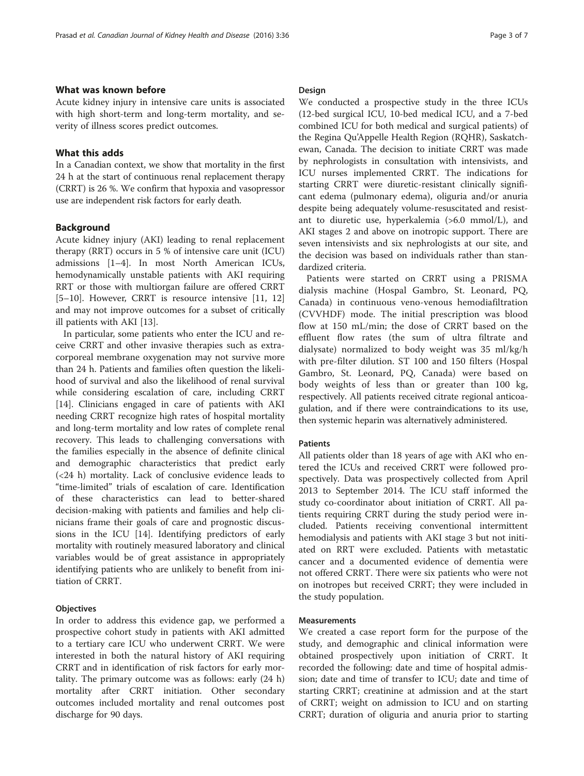# What was known before

Acute kidney injury in intensive care units is associated with high short-term and long-term mortality, and severity of illness scores predict outcomes.

## What this adds

In a Canadian context, we show that mortality in the first 24 h at the start of continuous renal replacement therapy (CRRT) is 26 %. We confirm that hypoxia and vasopressor use are independent risk factors for early death.

#### Background

Acute kidney injury (AKI) leading to renal replacement therapy (RRT) occurs in 5 % of intensive care unit (ICU) admissions [[1](#page-5-0)–[4](#page-6-0)]. In most North American ICUs, hemodynamically unstable patients with AKI requiring RRT or those with multiorgan failure are offered CRRT [[5](#page-6-0)–[10\]](#page-6-0). However, CRRT is resource intensive [\[11](#page-6-0), [12](#page-6-0)] and may not improve outcomes for a subset of critically ill patients with AKI [\[13\]](#page-6-0).

In particular, some patients who enter the ICU and receive CRRT and other invasive therapies such as extracorporeal membrane oxygenation may not survive more than 24 h. Patients and families often question the likelihood of survival and also the likelihood of renal survival while considering escalation of care, including CRRT [[14\]](#page-6-0). Clinicians engaged in care of patients with AKI needing CRRT recognize high rates of hospital mortality and long-term mortality and low rates of complete renal recovery. This leads to challenging conversations with the families especially in the absence of definite clinical and demographic characteristics that predict early (<24 h) mortality. Lack of conclusive evidence leads to "time-limited" trials of escalation of care. Identification of these characteristics can lead to better-shared decision-making with patients and families and help clinicians frame their goals of care and prognostic discussions in the ICU [[14\]](#page-6-0). Identifying predictors of early mortality with routinely measured laboratory and clinical variables would be of great assistance in appropriately identifying patients who are unlikely to benefit from initiation of CRRT.

#### **Objectives**

In order to address this evidence gap, we performed a prospective cohort study in patients with AKI admitted to a tertiary care ICU who underwent CRRT. We were interested in both the natural history of AKI requiring CRRT and in identification of risk factors for early mortality. The primary outcome was as follows: early (24 h) mortality after CRRT initiation. Other secondary outcomes included mortality and renal outcomes post discharge for 90 days.

#### Design

We conducted a prospective study in the three ICUs (12-bed surgical ICU, 10-bed medical ICU, and a 7-bed combined ICU for both medical and surgical patients) of the Regina Qu'Appelle Health Region (RQHR), Saskatchewan, Canada. The decision to initiate CRRT was made by nephrologists in consultation with intensivists, and ICU nurses implemented CRRT. The indications for starting CRRT were diuretic-resistant clinically significant edema (pulmonary edema), oliguria and/or anuria despite being adequately volume-resuscitated and resistant to diuretic use, hyperkalemia (>6.0 mmol/L), and AKI stages 2 and above on inotropic support. There are seven intensivists and six nephrologists at our site, and the decision was based on individuals rather than standardized criteria.

Patients were started on CRRT using a PRISMA dialysis machine (Hospal Gambro, St. Leonard, PQ, Canada) in continuous veno-venous hemodiafiltration (CVVHDF) mode. The initial prescription was blood flow at 150 mL/min; the dose of CRRT based on the effluent flow rates (the sum of ultra filtrate and dialysate) normalized to body weight was 35 ml/kg/h with pre-filter dilution. ST 100 and 150 filters (Hospal Gambro, St. Leonard, PQ, Canada) were based on body weights of less than or greater than 100 kg, respectively. All patients received citrate regional anticoagulation, and if there were contraindications to its use, then systemic heparin was alternatively administered.

# Patients

All patients older than 18 years of age with AKI who entered the ICUs and received CRRT were followed prospectively. Data was prospectively collected from April 2013 to September 2014. The ICU staff informed the study co-coordinator about initiation of CRRT. All patients requiring CRRT during the study period were included. Patients receiving conventional intermittent hemodialysis and patients with AKI stage 3 but not initiated on RRT were excluded. Patients with metastatic cancer and a documented evidence of dementia were not offered CRRT. There were six patients who were not on inotropes but received CRRT; they were included in the study population.

## Measurements

We created a case report form for the purpose of the study, and demographic and clinical information were obtained prospectively upon initiation of CRRT. It recorded the following: date and time of hospital admission; date and time of transfer to ICU; date and time of starting CRRT; creatinine at admission and at the start of CRRT; weight on admission to ICU and on starting CRRT; duration of oliguria and anuria prior to starting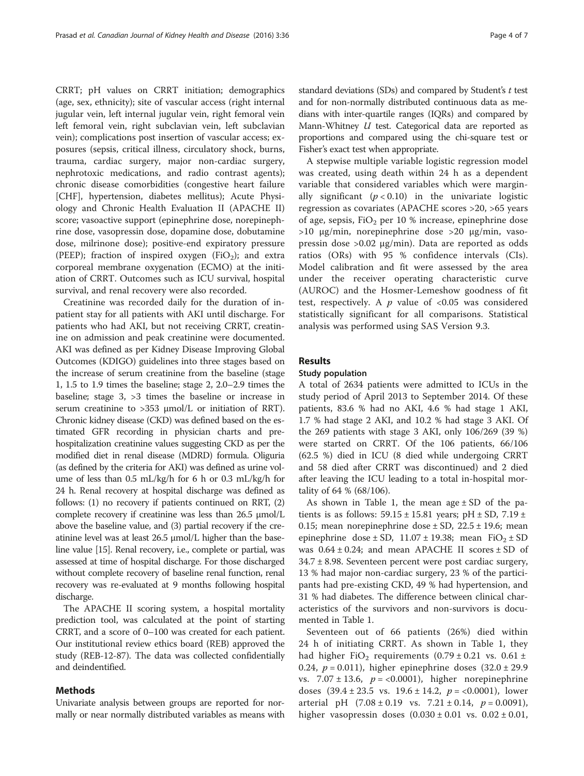CRRT; pH values on CRRT initiation; demographics (age, sex, ethnicity); site of vascular access (right internal jugular vein, left internal jugular vein, right femoral vein left femoral vein, right subclavian vein, left subclavian vein); complications post insertion of vascular access; exposures (sepsis, critical illness, circulatory shock, burns, trauma, cardiac surgery, major non-cardiac surgery, nephrotoxic medications, and radio contrast agents); chronic disease comorbidities (congestive heart failure [CHF], hypertension, diabetes mellitus); Acute Physiology and Chronic Health Evaluation II (APACHE II) score; vasoactive support (epinephrine dose, norepinephrine dose, vasopressin dose, dopamine dose, dobutamine dose, milrinone dose); positive-end expiratory pressure (PEEP); fraction of inspired oxygen (FiO<sub>2</sub>); and extra corporeal membrane oxygenation (ECMO) at the initiation of CRRT. Outcomes such as ICU survival, hospital survival, and renal recovery were also recorded.

Creatinine was recorded daily for the duration of inpatient stay for all patients with AKI until discharge. For patients who had AKI, but not receiving CRRT, creatinine on admission and peak creatinine were documented. AKI was defined as per Kidney Disease Improving Global Outcomes (KDIGO) guidelines into three stages based on the increase of serum creatinine from the baseline (stage 1, 1.5 to 1.9 times the baseline; stage 2, 2.0–2.9 times the baseline; stage 3, >3 times the baseline or increase in serum creatinine to >353 μmol/L or initiation of RRT). Chronic kidney disease (CKD) was defined based on the estimated GFR recording in physician charts and prehospitalization creatinine values suggesting CKD as per the modified diet in renal disease (MDRD) formula. Oliguria (as defined by the criteria for AKI) was defined as urine volume of less than 0.5 mL/kg/h for 6 h or 0.3 mL/kg/h for 24 h. Renal recovery at hospital discharge was defined as follows: (1) no recovery if patients continued on RRT, (2) complete recovery if creatinine was less than 26.5 μmol/L above the baseline value, and (3) partial recovery if the creatinine level was at least 26.5 μmol/L higher than the baseline value [\[15\]](#page-6-0). Renal recovery, i.e., complete or partial, was assessed at time of hospital discharge. For those discharged without complete recovery of baseline renal function, renal recovery was re-evaluated at 9 months following hospital discharge.

The APACHE II scoring system, a hospital mortality prediction tool, was calculated at the point of starting CRRT, and a score of 0–100 was created for each patient. Our institutional review ethics board (REB) approved the study (REB-12-87). The data was collected confidentially and deindentified.

#### Methods

Univariate analysis between groups are reported for normally or near normally distributed variables as means with

standard deviations (SDs) and compared by Student's  $t$  test and for non-normally distributed continuous data as medians with inter-quartile ranges (IQRs) and compared by Mann-Whitney *U* test. Categorical data are reported as proportions and compared using the chi-square test or Fisher's exact test when appropriate.

A stepwise multiple variable logistic regression model was created, using death within 24 h as a dependent variable that considered variables which were marginally significant  $(p < 0.10)$  in the univariate logistic regression as covariates (APACHE scores >20, >65 years of age, sepsis,  $FiO<sub>2</sub>$  per 10 % increase, epinephrine dose >10 μg/min, norepinephrine dose >20 μg/min, vasopressin dose >0.02 μg/min). Data are reported as odds ratios (ORs) with 95 % confidence intervals (CIs). Model calibration and fit were assessed by the area under the receiver operating characteristic curve (AUROC) and the Hosmer-Lemeshow goodness of fit test, respectively. A  $p$  value of <0.05 was considered statistically significant for all comparisons. Statistical analysis was performed using SAS Version 9.3.

## Results

## Study population

A total of 2634 patients were admitted to ICUs in the study period of April 2013 to September 2014. Of these patients, 83.6 % had no AKI, 4.6 % had stage 1 AKI, 1.7 % had stage 2 AKI, and 10.2 % had stage 3 AKI. Of the 269 patients with stage 3 AKI, only 106/269 (39 %) were started on CRRT. Of the 106 patients, 66/106 (62.5 %) died in ICU (8 died while undergoing CRRT and 58 died after CRRT was discontinued) and 2 died after leaving the ICU leading to a total in-hospital mortality of 64 % (68/106).

As shown in Table [1,](#page-4-0) the mean  $age \pm SD$  of the patients is as follows:  $59.15 \pm 15.81$  years; pH  $\pm$  SD,  $7.19 \pm$ 0.15; mean norepinephrine dose  $\pm$  SD, 22.5  $\pm$  19.6; mean epinephrine dose  $\pm$  SD, 11.07  $\pm$  19.38; mean FiO<sub>2</sub>  $\pm$  SD was  $0.64 \pm 0.24$ ; and mean APACHE II scores  $\pm$  SD of 34.7 ± 8.98. Seventeen percent were post cardiac surgery, 13 % had major non-cardiac surgery, 23 % of the participants had pre-existing CKD, 49 % had hypertension, and 31 % had diabetes. The difference between clinical characteristics of the survivors and non-survivors is documented in Table [1](#page-4-0).

Seventeen out of 66 patients (26%) died within 24 h of initiating CRRT. As shown in Table [1,](#page-4-0) they had higher FiO<sub>2</sub> requirements  $(0.79 \pm 0.21$  vs.  $0.61 \pm 0.21$ 0.24,  $p = 0.011$ ), higher epinephrine doses  $(32.0 \pm 29.9)$ vs.  $7.07 \pm 13.6$ ,  $p = <0.0001$ ), higher norepinephrine doses  $(39.4 \pm 23.5 \text{ vs. } 19.6 \pm 14.2, p = <0.0001)$ , lower arterial pH  $(7.08 \pm 0.19 \text{ vs. } 7.21 \pm 0.14, p = 0.0091)$ , higher vasopressin doses  $(0.030 \pm 0.01$  vs.  $0.02 \pm 0.01$ ,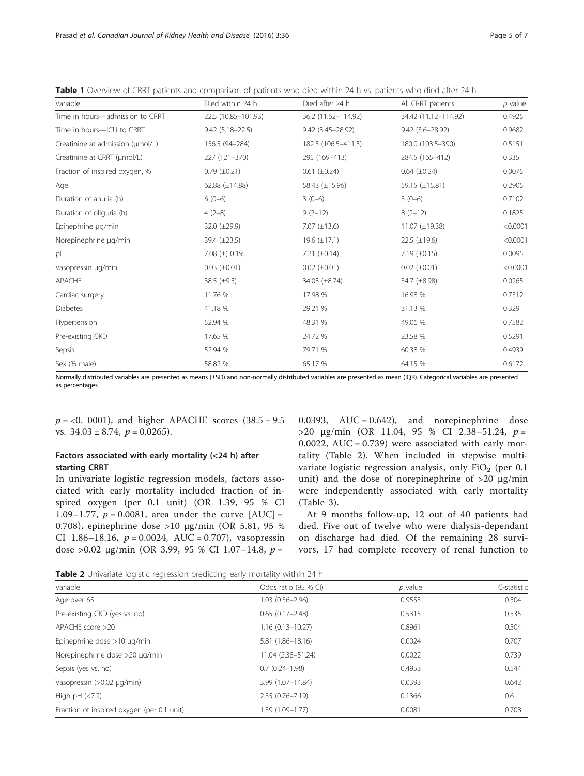<span id="page-4-0"></span>Table 1 Overview of CRRT patients and comparison of patients who died within 24 h vs. patients who died after 24 h

| Variable                         | Died within 24 h      | Died after 24 h       | All CRRT patients     | $p$ value |
|----------------------------------|-----------------------|-----------------------|-----------------------|-----------|
| Time in hours-admission to CRRT  | 22.5 (10.85-101.93)   | 36.2 (11.62-114.92)   | 34.42 (11.12-114.92)  | 0.4925    |
| Time in hours-ICU to CRRT        | $9.42(5.18 - 22.5)$   | 9.42 (3.45 - 28.92)   | $9.42(3.6 - 28.92)$   | 0.9682    |
| Creatinine at admission (umol/L) | 156.5 (94-284)        | 182.5 (106.5-411.5)   | 180.0 (103.5-390)     | 0.5151    |
| Creatinine at CRRT (µmol/L)      | 227 (121-370)         | 295 (169-413)         | 284.5 (165-412)       | 0.335     |
| Fraction of inspired oxygen, %   | $0.79 \ (\pm 0.21)$   | $0.61 (\pm 0.24)$     | $0.64$ ( $\pm 0.24$ ) | 0.0075    |
| Age                              | 62.88 $(\pm 14.88)$   | 58.43 (±15.96)        | 59.15 $(\pm 15.81)$   | 0.2905    |
| Duration of anuria (h)           | $6(0-6)$              | $3(0-6)$              | $3(0-6)$              | 0.7102    |
| Duration of oliguria (h)         | $4(2-8)$              | $9(2-12)$             | $8(2-12)$             | 0.1825    |
| Epinephrine µg/min               | 32.0 (±29.9)          | $7.07 (\pm 13.6)$     | 11.07 (±19.38)        | < 0.0001  |
| Norepinephrine µq/min            | $39.4 (\pm 23.5)$     | 19.6 $(\pm 17.1)$     | $22.5 (\pm 19.6)$     | < 0.0001  |
| pH                               | 7.08 ( $\pm$ ) 0.19   | 7.21 $(\pm 0.14)$     | $7.19 \ (\pm 0.15)$   | 0.0095    |
| Vasopressin µg/min               | $0.03$ ( $\pm 0.01$ ) | $0.02$ ( $\pm 0.01$ ) | $0.02$ ( $\pm 0.01$ ) | < 0.0001  |
| APACHE                           | 38.5 $(\pm 9.5)$      | 34.03 (±8.74)         | 34.7 (±8.98)          | 0.0265    |
| Cardiac surgery                  | 11.76 %               | 17.98 %               | 16.98 %               | 0.7312    |
| <b>Diabetes</b>                  | 41.18 %               | 29.21 %               | 31.13 %               | 0.329     |
| Hypertension                     | 52.94 %               | 48.31 %               | 49.06 %               | 0.7582    |
| Pre-existing CKD                 | 17.65 %               | 24.72 %               | 23.58 %               | 0.5291    |
| Sepsis                           | 52.94 %               | 79.71 %               | 60.38 %               | 0.4939    |
| Sex (% male)                     | 58.82 %               | 65.17 %               | 64.15 %               | 0.6172    |

Normally distributed variables are presented as means (±SD) and non-normally distributed variables are presented as mean (IQR). Categorical variables are presented as percentages

 $p = < 0.0001$ ), and higher APACHE scores  $(38.5 \pm 9.5$ vs.  $34.03 \pm 8.74$ ,  $p = 0.0265$ ).

# Factors associated with early mortality (<24 h) after starting CRRT

In univariate logistic regression models, factors associated with early mortality included fraction of inspired oxygen (per 0.1 unit) (OR 1.39, 95 % CI 1.09–1.77,  $p = 0.0081$ , area under the curve  $[AUC] =$ 0.708), epinephrine dose >10 μg/min (OR 5.81, 95 % CI 1.86–18.16,  $p = 0.0024$ , AUC = 0.707), vasopressin dose >0.02 μg/min (OR 3.99, 95 % CI 1.07-14.8,  $p =$ 

0.0393,  $AUC = 0.642$ , and norepinephrine dose  $>$ 20 μg/min (OR 11.04, 95 % CI 2.38–51.24, p = 0.0022,  $AUC = 0.739$ ) were associated with early mortality (Table 2). When included in stepwise multivariate logistic regression analysis, only  $FiO<sub>2</sub>$  (per 0.1 unit) and the dose of norepinephrine of >20 μg/min were independently associated with early mortality (Table [3](#page-5-0)).

At 9 months follow-up, 12 out of 40 patients had died. Five out of twelve who were dialysis-dependant on discharge had died. Of the remaining 28 survivors, 17 had complete recovery of renal function to

Table 2 Univariate logistic regression predicting early mortality within 24 h

| Variable                                   | Odds ratio (95 % CI) | $p$ value | C-statistic |
|--------------------------------------------|----------------------|-----------|-------------|
| Age over 65                                | $1.03(0.36 - 2.96)$  | 0.9553    | 0.504       |
| Pre-existing CKD (yes vs. no)              | $0.65(0.17 - 2.48)$  | 0.5315    | 0.535       |
| APACHE score >20                           | $1.16(0.13 - 10.27)$ | 0.8961    | 0.504       |
| Epinephrine dose $>10 \mu q/min$           | 5.81 (1.86-18.16)    | 0.0024    | 0.707       |
| Norepinephrine dose >20 µg/min             | 11.04 (2.38-51.24)   | 0.0022    | 0.739       |
| Sepsis (yes vs. no)                        | $0.7(0.24 - 1.98)$   | 0.4953    | 0.544       |
| Vasopressin (>0.02 µg/min)                 | 3.99 (1.07-14.84)    | 0.0393    | 0.642       |
| High pH $(< 7.2)$                          | $2.35(0.76 - 7.19)$  | 0.1366    | 0.6         |
| Fraction of inspired oxygen (per 0.1 unit) | 1.39 (1.09-1.77)     | 0.0081    | 0.708       |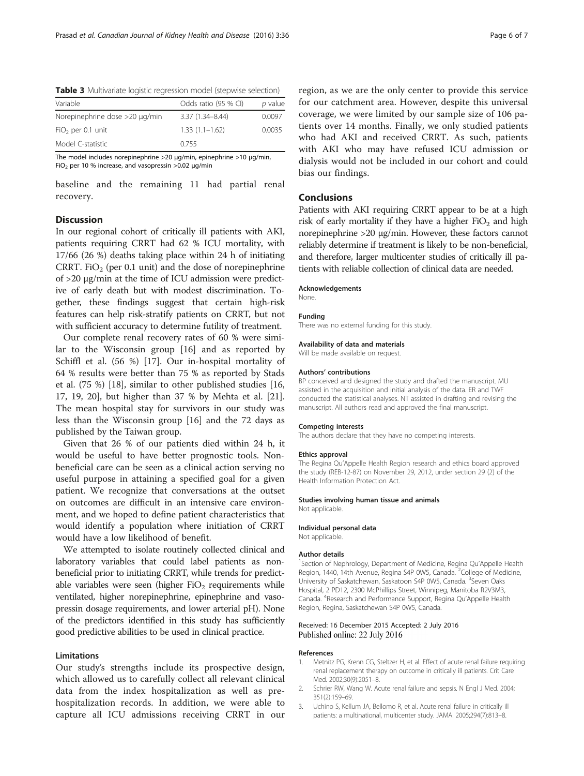<span id="page-5-0"></span>

| Variable                       | Odds ratio (95 % CI) | p value |  |
|--------------------------------|----------------------|---------|--|
| Norepinephrine dose >20 µg/min | $3.37(1.34 - 8.44)$  | 0.0097  |  |
| $FiO2$ per 0.1 unit            | $1.33(1.1 - 1.62)$   | 0.0035  |  |
| Model C-statistic              | 0.755                |         |  |

The model includes norepinephrine >20 μg/min, epinephrine >10 μg/min, FiO<sub>2</sub> per 10 % increase, and vasopressin >0.02  $\mu$ g/min

baseline and the remaining 11 had partial renal recovery.

## **Discussion**

In our regional cohort of critically ill patients with AKI, patients requiring CRRT had 62 % ICU mortality, with 17/66 (26 %) deaths taking place within 24 h of initiating CRRT. FiO<sub>2</sub> (per 0.1 unit) and the dose of norepinephrine of >20 μg/min at the time of ICU admission were predictive of early death but with modest discrimination. Together, these findings suggest that certain high-risk features can help risk-stratify patients on CRRT, but not with sufficient accuracy to determine futility of treatment.

Our complete renal recovery rates of 60 % were similar to the Wisconsin group [\[16\]](#page-6-0) and as reported by Schiffl et al. (56 %) [[17\]](#page-6-0). Our in-hospital mortality of 64 % results were better than 75 % as reported by Stads et al. (75 %) [[18](#page-6-0)], similar to other published studies [[16](#page-6-0), [17, 19, 20\]](#page-6-0), but higher than 37 % by Mehta et al. [\[21](#page-6-0)]. The mean hospital stay for survivors in our study was less than the Wisconsin group [\[16\]](#page-6-0) and the 72 days as published by the Taiwan group.

Given that 26 % of our patients died within 24 h, it would be useful to have better prognostic tools. Nonbeneficial care can be seen as a clinical action serving no useful purpose in attaining a specified goal for a given patient. We recognize that conversations at the outset on outcomes are difficult in an intensive care environment, and we hoped to define patient characteristics that would identify a population where initiation of CRRT would have a low likelihood of benefit.

We attempted to isolate routinely collected clinical and laboratory variables that could label patients as nonbeneficial prior to initiating CRRT, while trends for predictable variables were seen (higher  $FiO<sub>2</sub>$  requirements while ventilated, higher norepinephrine, epinephrine and vasopressin dosage requirements, and lower arterial pH). None of the predictors identified in this study has sufficiently good predictive abilities to be used in clinical practice.

#### Limitations

Our study's strengths include its prospective design, which allowed us to carefully collect all relevant clinical data from the index hospitalization as well as prehospitalization records. In addition, we were able to capture all ICU admissions receiving CRRT in our

region, as we are the only center to provide this service for our catchment area. However, despite this universal coverage, we were limited by our sample size of 106 patients over 14 months. Finally, we only studied patients who had AKI and received CRRT. As such, patients with AKI who may have refused ICU admission or dialysis would not be included in our cohort and could bias our findings.

# Conclusions

Patients with AKI requiring CRRT appear to be at a high risk of early mortality if they have a higher  $FiO<sub>2</sub>$  and high norepinephrine >20 μg/min. However, these factors cannot reliably determine if treatment is likely to be non-beneficial, and therefore, larger multicenter studies of critically ill patients with reliable collection of clinical data are needed.

#### Acknowledgements

None.

#### Funding

There was no external funding for this study.

#### Availability of data and materials

Will be made available on request.

#### Authors' contributions

BP conceived and designed the study and drafted the manuscript. MU assisted in the acquisition and initial analysis of the data. ER and TWF conducted the statistical analyses. NT assisted in drafting and revising the manuscript. All authors read and approved the final manuscript.

#### Competing interests

The authors declare that they have no competing interests.

#### Ethics approval

The Regina Qu'Appelle Health Region research and ethics board approved the study (REB-12-87) on November 29, 2012, under section 29 (2) of the Health Information Protection Act.

#### Studies involving human tissue and animals

Not applicable.

#### Individual personal data

Not applicable.

#### Author details

<sup>1</sup>Section of Nephrology, Department of Medicine, Regina Qu'Appelle Health Region, 1440, 14th Avenue, Regina S4P 0W5, Canada. <sup>2</sup>College of Medicine University of Saskatchewan, Saskatoon S4P 0W5, Canada. <sup>3</sup>Seven Oaks Hospital, 2 PD12, 2300 McPhillips Street, Winnipeg, Manitoba R2V3M3, Canada. <sup>4</sup> Research and Performance Support, Regina Qu'Appelle Health Region, Regina, Saskatchewan S4P 0W5, Canada.

#### Received: 16 December 2015 Accepted: 2 July 2016 Published online: 22 July 2016

#### References

- 1. Metnitz PG, Krenn CG, Steltzer H, et al. Effect of acute renal failure requiring renal replacement therapy on outcome in critically ill patients. Crit Care Med. 2002;30(9):2051–8.
- 2. Schrier RW, Wang W. Acute renal failure and sepsis. N Engl J Med. 2004; 351(2):159–69.
- 3. Uchino S, Kellum JA, Bellomo R, et al. Acute renal failure in critically ill patients: a multinational, multicenter study. JAMA. 2005;294(7):813–8.